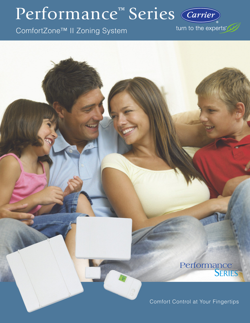# Performance<sup>™</sup> Series

ComfortZone™ II Zoning System

turn to the experts

# Performance<br>**SERIES**

Comfort Control at Your Fingertips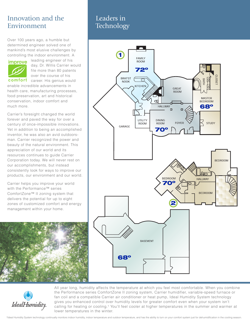## Innovation and the Environment

Over 100 years ago, a humble but determined engineer solved one of mankind's most elusive challenges by controlling the indoor environment. A



leading engineer of his day, Dr. Willis Carrier would file more than 80 patents over the course of his

comfort career. His genius would enable incredible advancements in health care, manufacturing processes, food preservation, art and historical conservation, indoor comfort and much more.

Carrier's foresight changed the world forever and paved the way for over a century of once-impossible innovations. Yet in addition to being an accomplished inventor, he was also an avid outdoorsman. Carrier recognized the power and beauty of the natural environment. This appreciation of our world and its resources continues to guide Carrier Corporation today. We will never rest on our accomplishments, but instead consistently look for ways to improve our products, our environment and our world.

Carrier helps you improve your world with the Performance™ series ComfortZone™ II zoning system that delivers the potential for up to eight zones of customized comfort and energy management within your home.



## Leaders in **Technology**



IdealHumidity

All year long, humidity affects the temperature at which you feel most comfortable. When you combine the Performance series ComfortZone II zoning system, Carrier humidifier, variable-speed furnace or fan coil and a compatible Carrier air conditioner or heat pump, Ideal Humidity System technology gives you enhanced control over humidity levels for greater comfort even when your system isn't calling for heating or cooling.† You'll feel cooler at higher temperatures in the summer and warmer at lower temperatures in the winter.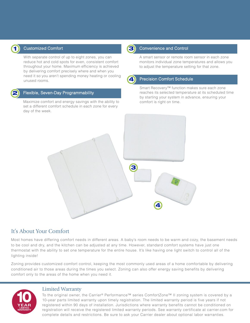

#### Customized Comfort

With separate control of up to eight zones, you can reduce hot and cold spots for even, consistent comfort throughout your home. Maximum efficiency is achieved by delivering comfort precisely where and when you need it so you aren't spending money heating or cooling unused rooms.



#### Flexible, Seven-Day Programmability

Maximize comfort and energy savings with the ability to set a different comfort schedule in each zone for every day of the week.



#### **1** Convenience and Control

A smart sensor or remote room sensor in each zone monitors individual zone temperatures and allows you to adjust the temperature setting for that zone.



#### Precision Comfort Schedule

Smart Recovery™ function makes sure each zone reaches its selected temperature at its scheduled time by starting your system in advance, ensuring your comfort is right on time.



### It's About Your Comfort

Most homes have differing comfort needs in different areas. A baby's room needs to be warm and cozy, the basement needs to be cool and dry, and the kitchen can be adjusted at any time. However, standard comfort systems have just one thermostat with the ability to set one temperature for the entire house. It's like having one light switch to control all of the lighting inside!

Zoning provides customized comfort control, keeping the most commonly used areas of a home comfortable by delivering conditioned air to those areas during the times you select. Zoning can also offer energy saving benefits by delivering comfort only to the areas of the home when you need it.



#### Limited Warranty

To the original owner, the Carrier® Performance™ series ComfortZone™ II zoning system is covered by a 10-year parts limited warranty upon timely registration. The limited warranty period is five years if not registered within 90 days of installation. Jurisdictions where warranty benefits cannot be conditioned on registration will receive the registered limited warranty periods. See warranty certificate at carrier.com for complete details and restrictions. Be sure to ask your Carrier dealer about optional labor warranties.